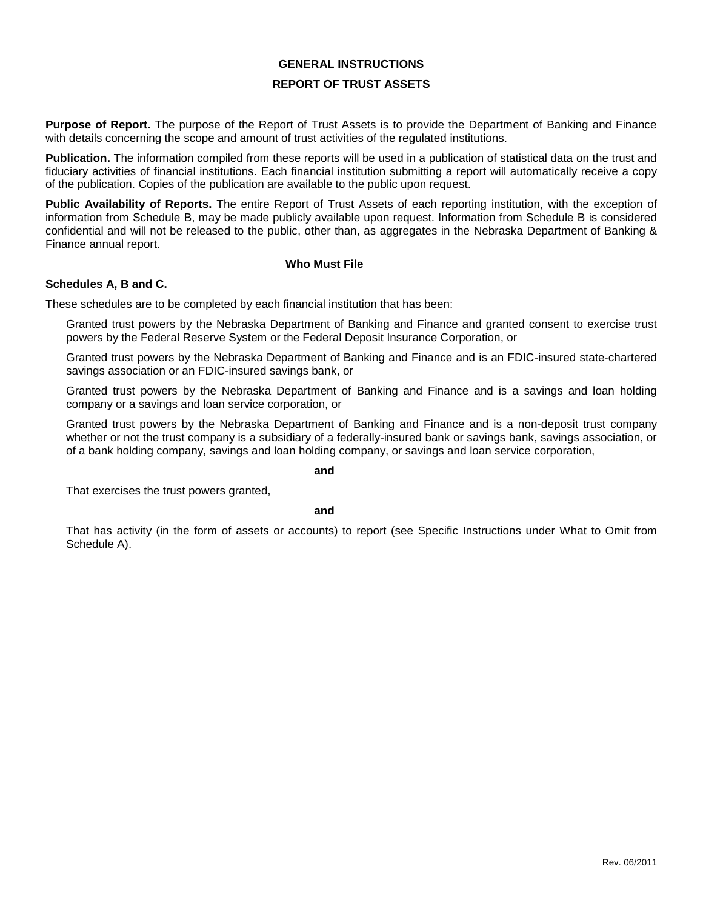# **GENERAL INSTRUCTIONS**

# **REPORT OF TRUST ASSETS**

**Purpose of Report.** The purpose of the Report of Trust Assets is to provide the Department of Banking and Finance with details concerning the scope and amount of trust activities of the regulated institutions.

**Publication.** The information compiled from these reports will be used in a publication of statistical data on the trust and fiduciary activities of financial institutions. Each financial institution submitting a report will automatically receive a copy of the publication. Copies of the publication are available to the public upon request.

**Public Availability of Reports.** The entire Report of Trust Assets of each reporting institution, with the exception of information from Schedule B, may be made publicly available upon request. Information from Schedule B is considered confidential and will not be released to the public, other than, as aggregates in the Nebraska Department of Banking & Finance annual report.

#### **Who Must File**

#### **Schedules A, B and C.**

These schedules are to be completed by each financial institution that has been:

Granted trust powers by the Nebraska Department of Banking and Finance and granted consent to exercise trust powers by the Federal Reserve System or the Federal Deposit Insurance Corporation, or

Granted trust powers by the Nebraska Department of Banking and Finance and is an FDIC-insured state-chartered savings association or an FDIC-insured savings bank, or

Granted trust powers by the Nebraska Department of Banking and Finance and is a savings and loan holding company or a savings and loan service corporation, or

Granted trust powers by the Nebraska Department of Banking and Finance and is a non-deposit trust company whether or not the trust company is a subsidiary of a federally-insured bank or savings bank, savings association, or of a bank holding company, savings and loan holding company, or savings and loan service corporation,

#### **and**

That exercises the trust powers granted,

#### **and**

That has activity (in the form of assets or accounts) to report (see Specific Instructions under What to Omit from Schedule A).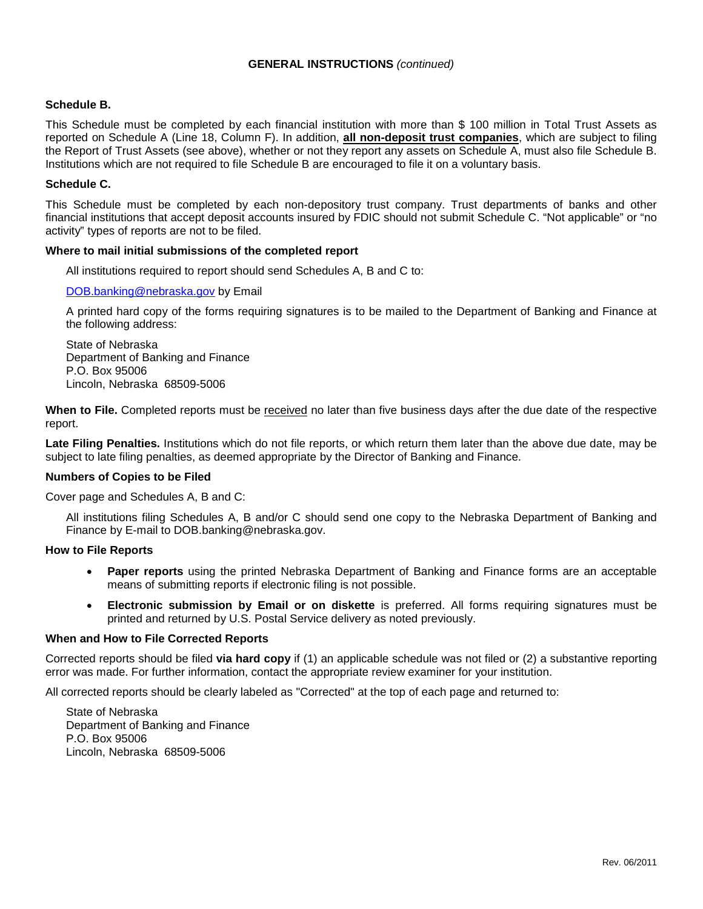# **GENERAL INSTRUCTIONS** *(continued)*

# **Schedule B.**

This Schedule must be completed by each financial institution with more than \$ 100 million in Total Trust Assets as reported on Schedule A (Line 18, Column F). In addition, **all non-deposit trust companies**, which are subject to filing the Report of Trust Assets (see above), whether or not they report any assets on Schedule A, must also file Schedule B. Institutions which are not required to file Schedule B are encouraged to file it on a voluntary basis.

# **Schedule C.**

This Schedule must be completed by each non-depository trust company. Trust departments of banks and other financial institutions that accept deposit accounts insured by FDIC should not submit Schedule C. "Not applicable" or "no activity" types of reports are not to be filed.

### **Where to mail initial submissions of the completed report**

All institutions required to report should send Schedules A, B and C to:

### [DOB.banking@nebraska.gov](mailto:DOB.banking@nebraska.gov) by Email

A printed hard copy of the forms requiring signatures is to be mailed to the Department of Banking and Finance at the following address:

State of Nebraska Department of Banking and Finance P.O. Box 95006 Lincoln, Nebraska 68509-5006

**When to File.** Completed reports must be received no later than five business days after the due date of the respective report.

**Late Filing Penalties.** Institutions which do not file reports, or which return them later than the above due date, may be subject to late filing penalties, as deemed appropriate by the Director of Banking and Finance.

# **Numbers of Copies to be Filed**

Cover page and Schedules A, B and C:

All institutions filing Schedules A, B and/or C should send one copy to the Nebraska Department of Banking and Finance by E-mail to DOB.banking@nebraska.gov.

### **How to File Reports**

- **Paper reports** using the printed Nebraska Department of Banking and Finance forms are an acceptable means of submitting reports if electronic filing is not possible.
- **Electronic submission by Email or on diskette** is preferred. All forms requiring signatures must be printed and returned by U.S. Postal Service delivery as noted previously.

### **When and How to File Corrected Reports**

Corrected reports should be filed **via hard copy** if (1) an applicable schedule was not filed or (2) a substantive reporting error was made. For further information, contact the appropriate review examiner for your institution.

All corrected reports should be clearly labeled as "Corrected" at the top of each page and returned to:

State of Nebraska Department of Banking and Finance P.O. Box 95006 Lincoln, Nebraska 68509-5006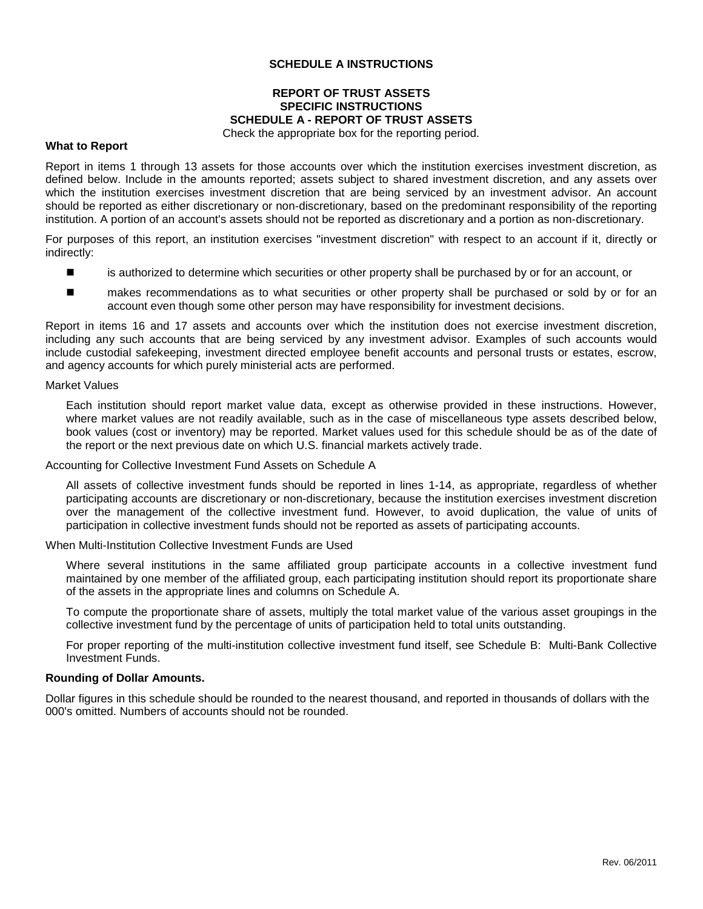# **SCHEDULE A INSTRUCTIONS**

# **REPORT OF TRUST ASSETS SPECIFIC INSTRUCTIONS SCHEDULE A - REPORT OF TRUST ASSETS**

Check the appropriate box for the reporting period.

### **What to Report**

Report in items 1 through 13 assets for those accounts over which the institution exercises investment discretion, as defined below. Include in the amounts reported; assets subject to shared investment discretion, and any assets over which the institution exercises investment discretion that are being serviced by an investment advisor. An account should be reported as either discretionary or non-discretionary, based on the predominant responsibility of the reporting institution. A portion of an account's assets should not be reported as discretionary and a portion as non-discretionary.

For purposes of this report, an institution exercises "investment discretion" with respect to an account if it, directly or indirectly:

- **EXECUTE:** is authorized to determine which securities or other property shall be purchased by or for an account, or
- makes recommendations as to what securities or other property shall be purchased or sold by or for an account even though some other person may have responsibility for investment decisions.

Report in items 16 and 17 assets and accounts over which the institution does not exercise investment discretion, including any such accounts that are being serviced by any investment advisor. Examples of such accounts would include custodial safekeeping, investment directed employee benefit accounts and personal trusts or estates, escrow, and agency accounts for which purely ministerial acts are performed.

#### Market Values

Each institution should report market value data, except as otherwise provided in these instructions. However, where market values are not readily available, such as in the case of miscellaneous type assets described below, book values (cost or inventory) may be reported. Market values used for this schedule should be as of the date of the report or the next previous date on which U.S. financial markets actively trade.

#### Accounting for Collective Investment Fund Assets on Schedule A

All assets of collective investment funds should be reported in lines 1-14, as appropriate, regardless of whether participating accounts are discretionary or non-discretionary, because the institution exercises investment discretion over the management of the collective investment fund. However, to avoid duplication, the value of units of participation in collective investment funds should not be reported as assets of participating accounts.

When Multi-Institution Collective Investment Funds are Used

Where several institutions in the same affiliated group participate accounts in a collective investment fund maintained by one member of the affiliated group, each participating institution should report its proportionate share of the assets in the appropriate lines and columns on Schedule A.

To compute the proportionate share of assets, multiply the total market value of the various asset groupings in the collective investment fund by the percentage of units of participation held to total units outstanding.

For proper reporting of the multi-institution collective investment fund itself, see Schedule B: Multi-Bank Collective Investment Funds.

#### **Rounding of Dollar Amounts.**

Dollar figures in this schedule should be rounded to the nearest thousand, and reported in thousands of dollars with the 000's omitted. Numbers of accounts should not be rounded.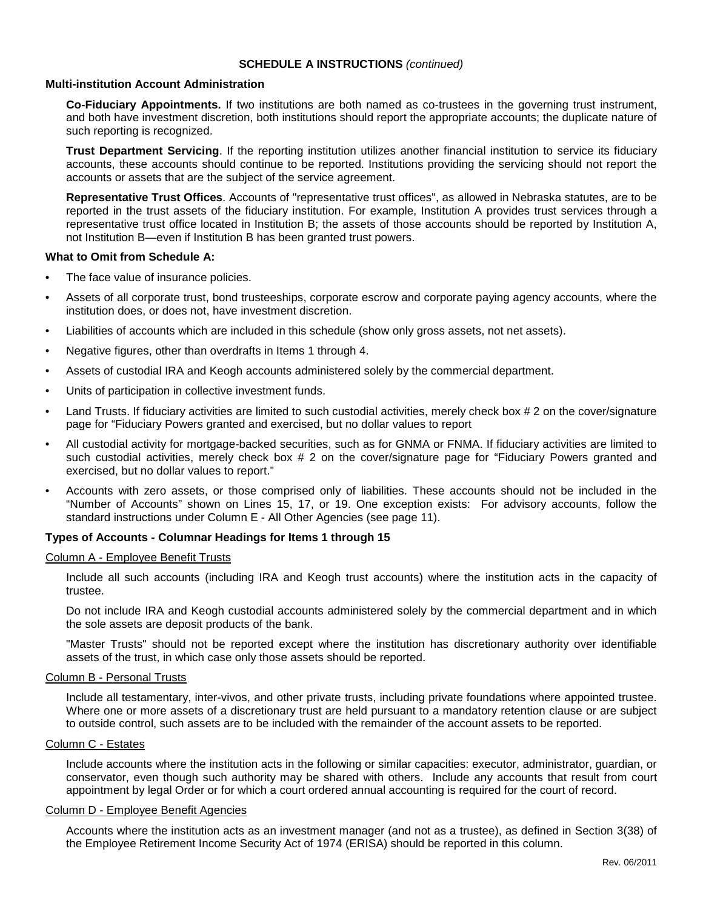### **Multi-institution Account Administration**

**Co-Fiduciary Appointments.** If two institutions are both named as co-trustees in the governing trust instrument, and both have investment discretion, both institutions should report the appropriate accounts; the duplicate nature of such reporting is recognized.

**Trust Department Servicing**. If the reporting institution utilizes another financial institution to service its fiduciary accounts, these accounts should continue to be reported. Institutions providing the servicing should not report the accounts or assets that are the subject of the service agreement.

**Representative Trust Offices**. Accounts of "representative trust offices", as allowed in Nebraska statutes, are to be reported in the trust assets of the fiduciary institution. For example, Institution A provides trust services through a representative trust office located in Institution B; the assets of those accounts should be reported by Institution A, not Institution B—even if Institution B has been granted trust powers.

### **What to Omit from Schedule A:**

- The face value of insurance policies.
- Assets of all corporate trust, bond trusteeships, corporate escrow and corporate paying agency accounts, where the institution does, or does not, have investment discretion.
- Liabilities of accounts which are included in this schedule (show only gross assets, not net assets).
- Negative figures, other than overdrafts in Items 1 through 4.
- Assets of custodial IRA and Keogh accounts administered solely by the commercial department.
- Units of participation in collective investment funds.
- Land Trusts. If fiduciary activities are limited to such custodial activities, merely check box # 2 on the cover/signature page for "Fiduciary Powers granted and exercised, but no dollar values to report
- All custodial activity for mortgage-backed securities, such as for GNMA or FNMA. If fiduciary activities are limited to such custodial activities, merely check box # 2 on the cover/signature page for "Fiduciary Powers granted and exercised, but no dollar values to report."
- Accounts with zero assets, or those comprised only of liabilities. These accounts should not be included in the "Number of Accounts" shown on Lines 15, 17, or 19. One exception exists: For advisory accounts, follow the standard instructions under Column E - All Other Agencies (see page 11).

# **Types of Accounts - Columnar Headings for Items 1 through 15**

#### Column A - Employee Benefit Trusts

Include all such accounts (including IRA and Keogh trust accounts) where the institution acts in the capacity of trustee.

Do not include IRA and Keogh custodial accounts administered solely by the commercial department and in which the sole assets are deposit products of the bank.

"Master Trusts" should not be reported except where the institution has discretionary authority over identifiable assets of the trust, in which case only those assets should be reported.

#### Column B - Personal Trusts

Include all testamentary, inter-vivos, and other private trusts, including private foundations where appointed trustee. Where one or more assets of a discretionary trust are held pursuant to a mandatory retention clause or are subject to outside control, such assets are to be included with the remainder of the account assets to be reported.

#### Column C - Estates

Include accounts where the institution acts in the following or similar capacities: executor, administrator, guardian, or conservator, even though such authority may be shared with others. Include any accounts that result from court appointment by legal Order or for which a court ordered annual accounting is required for the court of record.

### Column D - Employee Benefit Agencies

Accounts where the institution acts as an investment manager (and not as a trustee), as defined in Section 3(38) of the Employee Retirement Income Security Act of 1974 (ERISA) should be reported in this column.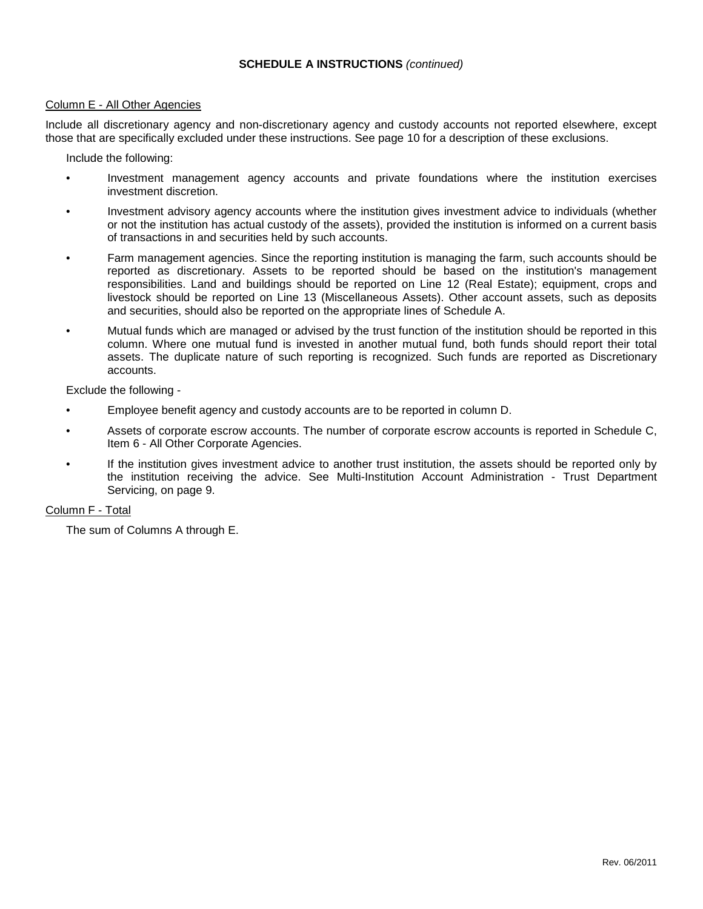# Column E - All Other Agencies

Include all discretionary agency and non-discretionary agency and custody accounts not reported elsewhere, except those that are specifically excluded under these instructions. See page 10 for a description of these exclusions.

Include the following:

- Investment management agency accounts and private foundations where the institution exercises investment discretion.
- Investment advisory agency accounts where the institution gives investment advice to individuals (whether or not the institution has actual custody of the assets), provided the institution is informed on a current basis of transactions in and securities held by such accounts.
- Farm management agencies. Since the reporting institution is managing the farm, such accounts should be reported as discretionary. Assets to be reported should be based on the institution's management responsibilities. Land and buildings should be reported on Line 12 (Real Estate); equipment, crops and livestock should be reported on Line 13 (Miscellaneous Assets). Other account assets, such as deposits and securities, should also be reported on the appropriate lines of Schedule A.
- Mutual funds which are managed or advised by the trust function of the institution should be reported in this column. Where one mutual fund is invested in another mutual fund, both funds should report their total assets. The duplicate nature of such reporting is recognized. Such funds are reported as Discretionary accounts.

Exclude the following -

- Employee benefit agency and custody accounts are to be reported in column D.
- Assets of corporate escrow accounts. The number of corporate escrow accounts is reported in Schedule C, Item 6 - All Other Corporate Agencies.
- If the institution gives investment advice to another trust institution, the assets should be reported only by the institution receiving the advice. See Multi-Institution Account Administration - Trust Department Servicing, on page 9.

# Column F - Total

The sum of Columns A through E.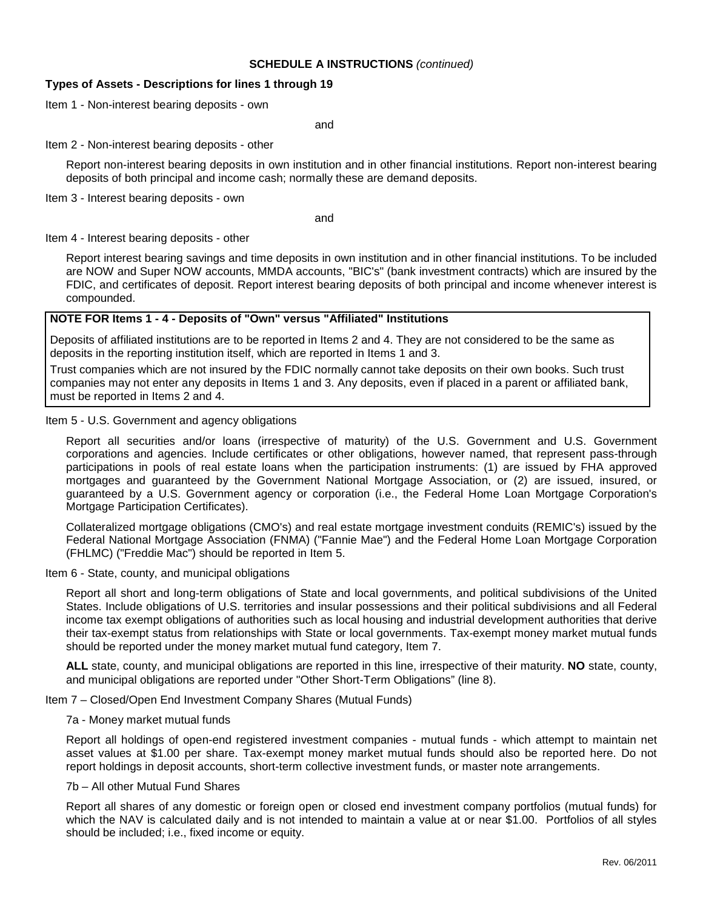# **Types of Assets - Descriptions for lines 1 through 19**

Item 1 - Non-interest bearing deposits - own

and

### Item 2 - Non-interest bearing deposits - other

Report non-interest bearing deposits in own institution and in other financial institutions. Report non-interest bearing deposits of both principal and income cash; normally these are demand deposits.

Item 3 - Interest bearing deposits - own

and

Item 4 - Interest bearing deposits - other

Report interest bearing savings and time deposits in own institution and in other financial institutions. To be included are NOW and Super NOW accounts, MMDA accounts, "BIC's" (bank investment contracts) which are insured by the FDIC, and certificates of deposit. Report interest bearing deposits of both principal and income whenever interest is compounded.

# **NOTE FOR Items 1 - 4 - Deposits of "Own" versus "Affiliated" Institutions**

Deposits of affiliated institutions are to be reported in Items 2 and 4. They are not considered to be the same as deposits in the reporting institution itself, which are reported in Items 1 and 3.

Trust companies which are not insured by the FDIC normally cannot take deposits on their own books. Such trust companies may not enter any deposits in Items 1 and 3. Any deposits, even if placed in a parent or affiliated bank, must be reported in Items 2 and 4.

### Item 5 - U.S. Government and agency obligations

Report all securities and/or loans (irrespective of maturity) of the U.S. Government and U.S. Government corporations and agencies. Include certificates or other obligations, however named, that represent pass-through participations in pools of real estate loans when the participation instruments: (1) are issued by FHA approved mortgages and guaranteed by the Government National Mortgage Association, or (2) are issued, insured, or guaranteed by a U.S. Government agency or corporation (i.e., the Federal Home Loan Mortgage Corporation's Mortgage Participation Certificates).

Collateralized mortgage obligations (CMO's) and real estate mortgage investment conduits (REMIC's) issued by the Federal National Mortgage Association (FNMA) ("Fannie Mae") and the Federal Home Loan Mortgage Corporation (FHLMC) ("Freddie Mac") should be reported in Item 5.

# Item 6 - State, county, and municipal obligations

Report all short and long-term obligations of State and local governments, and political subdivisions of the United States. Include obligations of U.S. territories and insular possessions and their political subdivisions and all Federal income tax exempt obligations of authorities such as local housing and industrial development authorities that derive their tax-exempt status from relationships with State or local governments. Tax-exempt money market mutual funds should be reported under the money market mutual fund category, Item 7.

**ALL** state, county, and municipal obligations are reported in this line, irrespective of their maturity. **NO** state, county, and municipal obligations are reported under "Other Short-Term Obligations" (line 8).

Item 7 – Closed/Open End Investment Company Shares (Mutual Funds)

### 7a - Money market mutual funds

Report all holdings of open-end registered investment companies - mutual funds - which attempt to maintain net asset values at \$1.00 per share. Tax-exempt money market mutual funds should also be reported here. Do not report holdings in deposit accounts, short-term collective investment funds, or master note arrangements.

# 7b – All other Mutual Fund Shares

Report all shares of any domestic or foreign open or closed end investment company portfolios (mutual funds) for which the NAV is calculated daily and is not intended to maintain a value at or near \$1.00. Portfolios of all styles should be included; i.e., fixed income or equity.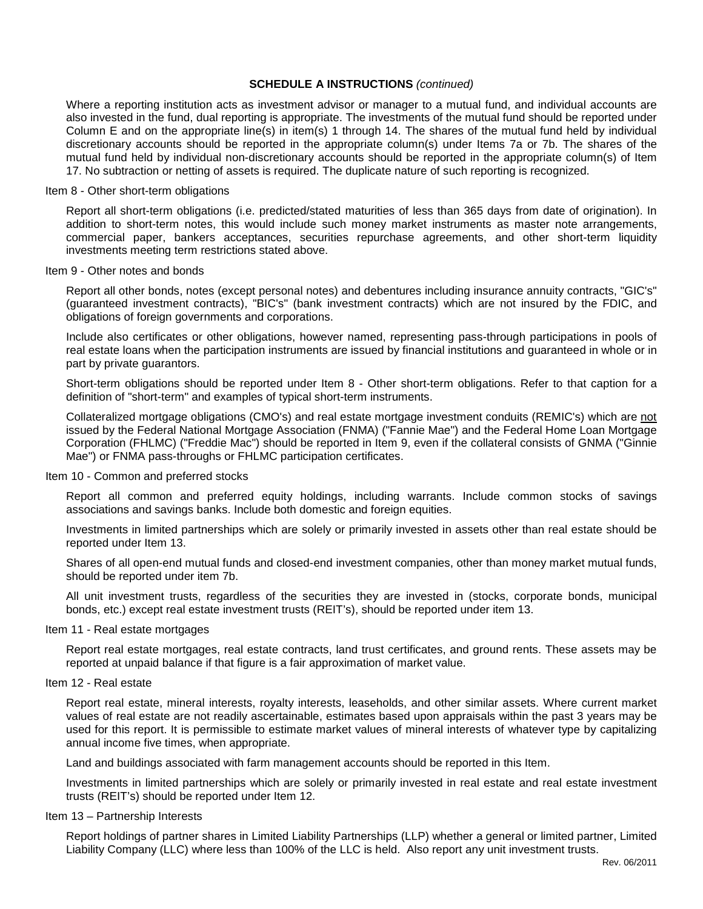Where a reporting institution acts as investment advisor or manager to a mutual fund, and individual accounts are also invested in the fund, dual reporting is appropriate. The investments of the mutual fund should be reported under Column E and on the appropriate line(s) in item(s) 1 through 14. The shares of the mutual fund held by individual discretionary accounts should be reported in the appropriate column(s) under Items 7a or 7b. The shares of the mutual fund held by individual non-discretionary accounts should be reported in the appropriate column(s) of Item 17. No subtraction or netting of assets is required. The duplicate nature of such reporting is recognized.

#### Item 8 - Other short-term obligations

Report all short-term obligations (i.e. predicted/stated maturities of less than 365 days from date of origination). In addition to short-term notes, this would include such money market instruments as master note arrangements, commercial paper, bankers acceptances, securities repurchase agreements, and other short-term liquidity investments meeting term restrictions stated above.

# Item 9 - Other notes and bonds

Report all other bonds, notes (except personal notes) and debentures including insurance annuity contracts, "GIC's" (guaranteed investment contracts), "BIC's" (bank investment contracts) which are not insured by the FDIC, and obligations of foreign governments and corporations.

Include also certificates or other obligations, however named, representing pass-through participations in pools of real estate loans when the participation instruments are issued by financial institutions and guaranteed in whole or in part by private guarantors.

Short-term obligations should be reported under Item 8 - Other short-term obligations. Refer to that caption for a definition of "short-term" and examples of typical short-term instruments.

Collateralized mortgage obligations (CMO's) and real estate mortgage investment conduits (REMIC's) which are not issued by the Federal National Mortgage Association (FNMA) ("Fannie Mae") and the Federal Home Loan Mortgage Corporation (FHLMC) ("Freddie Mac") should be reported in Item 9, even if the collateral consists of GNMA ("Ginnie Mae") or FNMA pass-throughs or FHLMC participation certificates.

### Item 10 - Common and preferred stocks

Report all common and preferred equity holdings, including warrants. Include common stocks of savings associations and savings banks. Include both domestic and foreign equities.

Investments in limited partnerships which are solely or primarily invested in assets other than real estate should be reported under Item 13.

Shares of all open-end mutual funds and closed-end investment companies, other than money market mutual funds, should be reported under item 7b.

All unit investment trusts, regardless of the securities they are invested in (stocks, corporate bonds, municipal bonds, etc.) except real estate investment trusts (REIT's), should be reported under item 13.

#### Item 11 - Real estate mortgages

Report real estate mortgages, real estate contracts, land trust certificates, and ground rents. These assets may be reported at unpaid balance if that figure is a fair approximation of market value.

### Item 12 - Real estate

Report real estate, mineral interests, royalty interests, leaseholds, and other similar assets. Where current market values of real estate are not readily ascertainable, estimates based upon appraisals within the past 3 years may be used for this report. It is permissible to estimate market values of mineral interests of whatever type by capitalizing annual income five times, when appropriate.

Land and buildings associated with farm management accounts should be reported in this Item.

Investments in limited partnerships which are solely or primarily invested in real estate and real estate investment trusts (REIT's) should be reported under Item 12.

### Item 13 – Partnership Interests

Report holdings of partner shares in Limited Liability Partnerships (LLP) whether a general or limited partner, Limited Liability Company (LLC) where less than 100% of the LLC is held. Also report any unit investment trusts.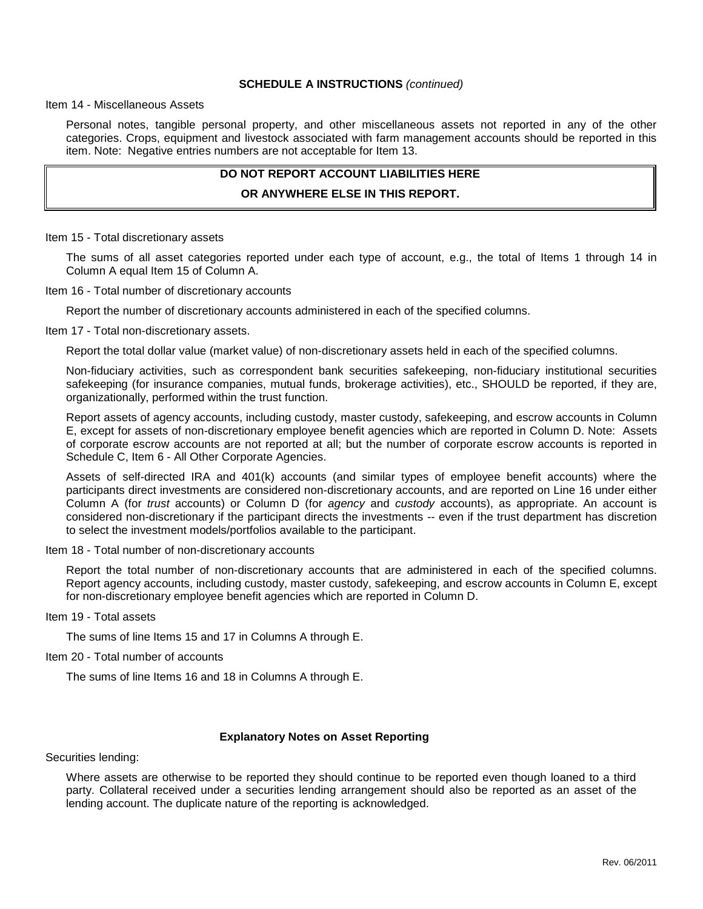Item 14 - Miscellaneous Assets

Personal notes, tangible personal property, and other miscellaneous assets not reported in any of the other categories. Crops, equipment and livestock associated with farm management accounts should be reported in this item. Note: Negative entries numbers are not acceptable for Item 13.

# **DO NOT REPORT ACCOUNT LIABILITIES HERE OR ANYWHERE ELSE IN THIS REPORT.**

Item 15 - Total discretionary assets

The sums of all asset categories reported under each type of account, e.g., the total of Items 1 through 14 in Column A equal Item 15 of Column A.

Item 16 - Total number of discretionary accounts

Report the number of discretionary accounts administered in each of the specified columns.

Item 17 - Total non-discretionary assets.

Report the total dollar value (market value) of non-discretionary assets held in each of the specified columns.

Non-fiduciary activities, such as correspondent bank securities safekeeping, non-fiduciary institutional securities safekeeping (for insurance companies, mutual funds, brokerage activities), etc., SHOULD be reported, if they are, organizationally, performed within the trust function.

Report assets of agency accounts, including custody, master custody, safekeeping, and escrow accounts in Column E, except for assets of non-discretionary employee benefit agencies which are reported in Column D. Note: Assets of corporate escrow accounts are not reported at all; but the number of corporate escrow accounts is reported in Schedule C, Item 6 - All Other Corporate Agencies.

Assets of self-directed IRA and 401(k) accounts (and similar types of employee benefit accounts) where the participants direct investments are considered non-discretionary accounts, and are reported on Line 16 under either Column A (for *trust* accounts) or Column D (for *agency* and *custody* accounts), as appropriate. An account is considered non-discretionary if the participant directs the investments -- even if the trust department has discretion to select the investment models/portfolios available to the participant.

Item 18 - Total number of non-discretionary accounts

Report the total number of non-discretionary accounts that are administered in each of the specified columns. Report agency accounts, including custody, master custody, safekeeping, and escrow accounts in Column E, except for non-discretionary employee benefit agencies which are reported in Column D.

Item 19 - Total assets

The sums of line Items 15 and 17 in Columns A through E.

Item 20 - Total number of accounts

The sums of line Items 16 and 18 in Columns A through E.

### **Explanatory Notes on Asset Reporting**

Securities lending:

Where assets are otherwise to be reported they should continue to be reported even though loaned to a third party. Collateral received under a securities lending arrangement should also be reported as an asset of the lending account. The duplicate nature of the reporting is acknowledged.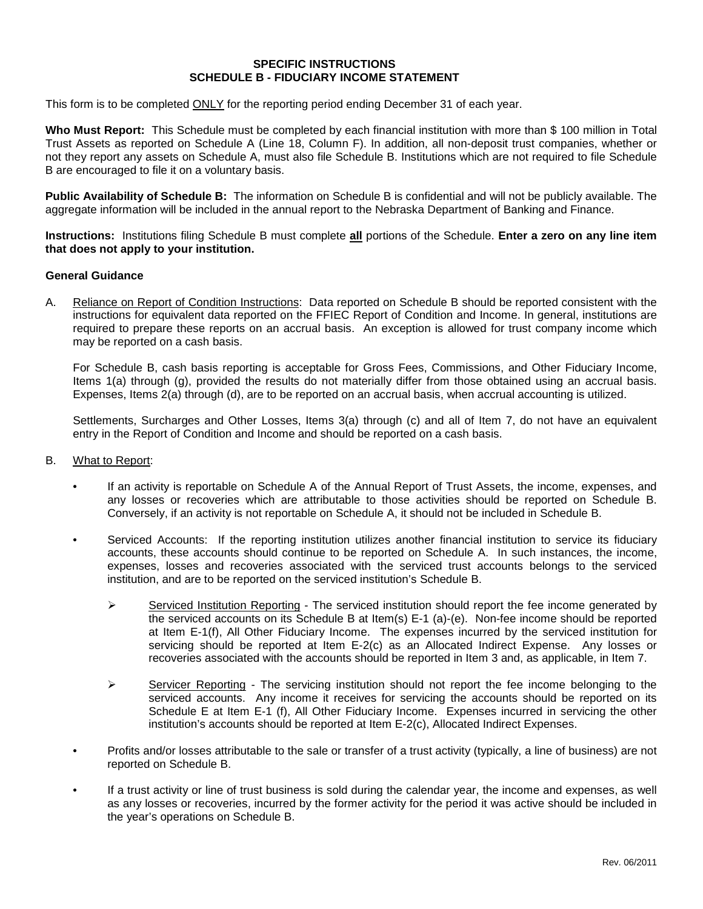### **SPECIFIC INSTRUCTIONS SCHEDULE B - FIDUCIARY INCOME STATEMENT**

This form is to be completed ONLY for the reporting period ending December 31 of each year.

**Who Must Report:** This Schedule must be completed by each financial institution with more than \$ 100 million in Total Trust Assets as reported on Schedule A (Line 18, Column F). In addition, all non-deposit trust companies, whether or not they report any assets on Schedule A, must also file Schedule B. Institutions which are not required to file Schedule B are encouraged to file it on a voluntary basis.

**Public Availability of Schedule B:** The information on Schedule B is confidential and will not be publicly available. The aggregate information will be included in the annual report to the Nebraska Department of Banking and Finance.

**Instructions:** Institutions filing Schedule B must complete **all** portions of the Schedule. **Enter a zero on any line item that does not apply to your institution.**

### **General Guidance**

A. Reliance on Report of Condition Instructions: Data reported on Schedule B should be reported consistent with the instructions for equivalent data reported on the FFIEC Report of Condition and Income. In general, institutions are required to prepare these reports on an accrual basis. An exception is allowed for trust company income which may be reported on a cash basis.

For Schedule B, cash basis reporting is acceptable for Gross Fees, Commissions, and Other Fiduciary Income, Items 1(a) through (g), provided the results do not materially differ from those obtained using an accrual basis. Expenses, Items 2(a) through (d), are to be reported on an accrual basis, when accrual accounting is utilized.

Settlements, Surcharges and Other Losses, Items 3(a) through (c) and all of Item 7, do not have an equivalent entry in the Report of Condition and Income and should be reported on a cash basis.

- B. What to Report:
	- If an activity is reportable on Schedule A of the Annual Report of Trust Assets, the income, expenses, and any losses or recoveries which are attributable to those activities should be reported on Schedule B. Conversely, if an activity is not reportable on Schedule A, it should not be included in Schedule B.
	- Serviced Accounts: If the reporting institution utilizes another financial institution to service its fiduciary accounts, these accounts should continue to be reported on Schedule A. In such instances, the income, expenses, losses and recoveries associated with the serviced trust accounts belongs to the serviced institution, and are to be reported on the serviced institution's Schedule B.
		- $\triangleright$  Serviced Institution Reporting The serviced institution should report the fee income generated by the serviced accounts on its Schedule B at Item(s) E-1 (a)-(e). Non-fee income should be reported at Item E-1(f), All Other Fiduciary Income. The expenses incurred by the serviced institution for servicing should be reported at Item E-2(c) as an Allocated Indirect Expense. Any losses or recoveries associated with the accounts should be reported in Item 3 and, as applicable, in Item 7.
		- $\triangleright$  Servicer Reporting The servicing institution should not report the fee income belonging to the serviced accounts. Any income it receives for servicing the accounts should be reported on its Schedule E at Item E-1 (f), All Other Fiduciary Income. Expenses incurred in servicing the other institution's accounts should be reported at Item E-2(c), Allocated Indirect Expenses.
	- Profits and/or losses attributable to the sale or transfer of a trust activity (typically, a line of business) are not reported on Schedule B.
	- If a trust activity or line of trust business is sold during the calendar year, the income and expenses, as well as any losses or recoveries, incurred by the former activity for the period it was active should be included in the year's operations on Schedule B.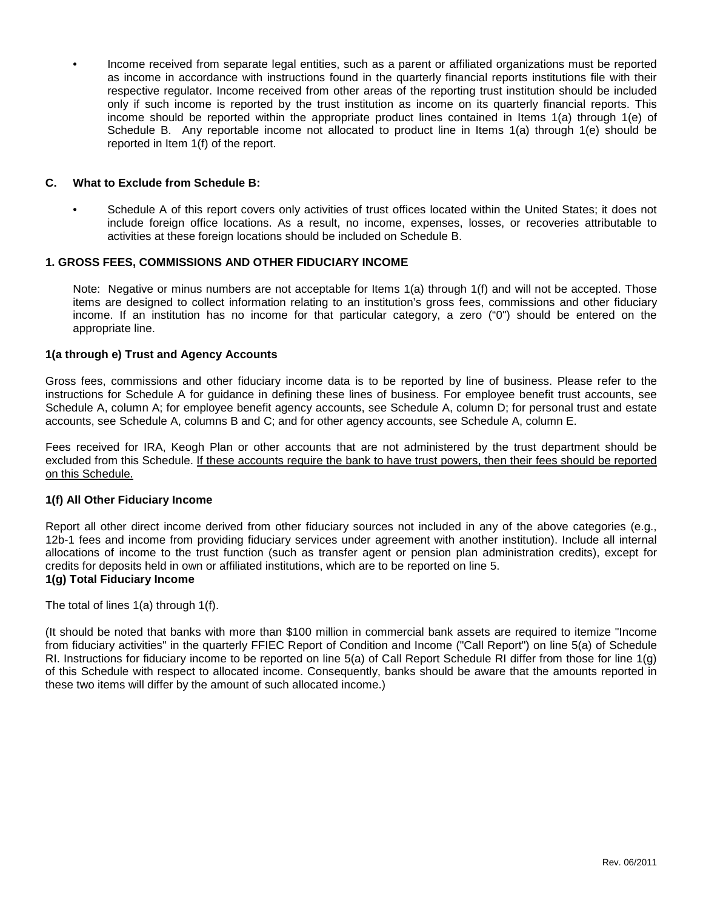• Income received from separate legal entities, such as a parent or affiliated organizations must be reported as income in accordance with instructions found in the quarterly financial reports institutions file with their respective regulator. Income received from other areas of the reporting trust institution should be included only if such income is reported by the trust institution as income on its quarterly financial reports. This income should be reported within the appropriate product lines contained in Items 1(a) through 1(e) of Schedule B. Any reportable income not allocated to product line in Items 1(a) through 1(e) should be reported in Item 1(f) of the report.

# **C. What to Exclude from Schedule B:**

• Schedule A of this report covers only activities of trust offices located within the United States; it does not include foreign office locations. As a result, no income, expenses, losses, or recoveries attributable to activities at these foreign locations should be included on Schedule B.

# **1. GROSS FEES, COMMISSIONS AND OTHER FIDUCIARY INCOME**

Note: Negative or minus numbers are not acceptable for Items 1(a) through 1(f) and will not be accepted. Those items are designed to collect information relating to an institution's gross fees, commissions and other fiduciary income. If an institution has no income for that particular category, a zero ("0") should be entered on the appropriate line.

# **1(a through e) Trust and Agency Accounts**

Gross fees, commissions and other fiduciary income data is to be reported by line of business. Please refer to the instructions for Schedule A for guidance in defining these lines of business. For employee benefit trust accounts, see Schedule A, column A; for employee benefit agency accounts, see Schedule A, column D; for personal trust and estate accounts, see Schedule A, columns B and C; and for other agency accounts, see Schedule A, column E.

Fees received for IRA, Keogh Plan or other accounts that are not administered by the trust department should be excluded from this Schedule. If these accounts require the bank to have trust powers, then their fees should be reported on this Schedule.

# **1(f) All Other Fiduciary Income**

Report all other direct income derived from other fiduciary sources not included in any of the above categories (e.g., 12b-1 fees and income from providing fiduciary services under agreement with another institution). Include all internal allocations of income to the trust function (such as transfer agent or pension plan administration credits), except for credits for deposits held in own or affiliated institutions, which are to be reported on line 5. **1(g) Total Fiduciary Income**

# The total of lines 1(a) through 1(f).

(It should be noted that banks with more than \$100 million in commercial bank assets are required to itemize "Income from fiduciary activities" in the quarterly FFIEC Report of Condition and Income ("Call Report") on line 5(a) of Schedule RI. Instructions for fiduciary income to be reported on line 5(a) of Call Report Schedule RI differ from those for line 1(g) of this Schedule with respect to allocated income. Consequently, banks should be aware that the amounts reported in these two items will differ by the amount of such allocated income.)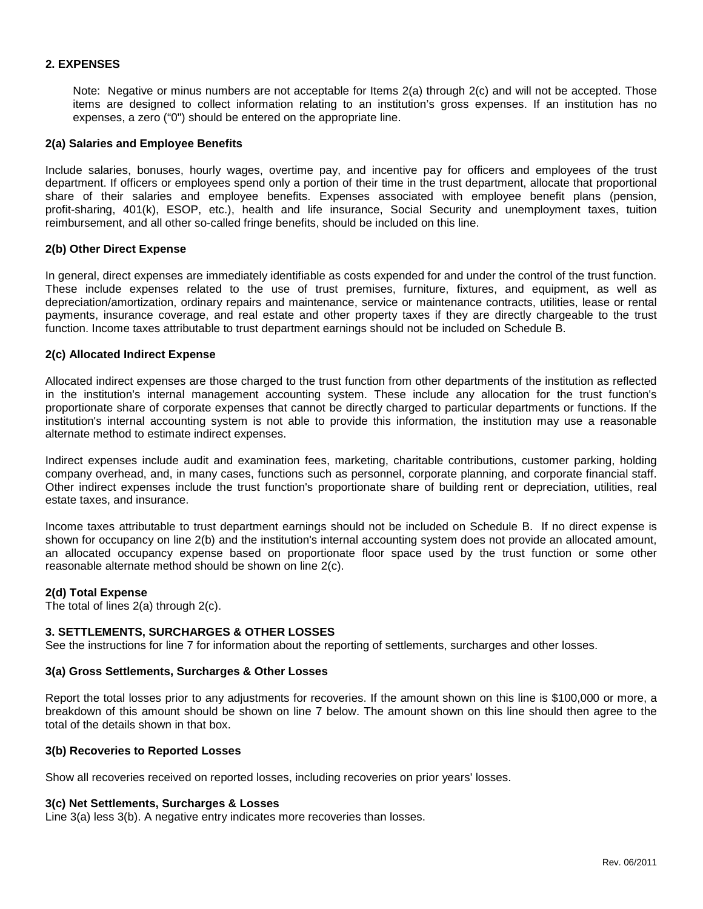# **2. EXPENSES**

Note: Negative or minus numbers are not acceptable for Items 2(a) through 2(c) and will not be accepted. Those items are designed to collect information relating to an institution's gross expenses. If an institution has no expenses, a zero ("0") should be entered on the appropriate line.

### **2(a) Salaries and Employee Benefits**

Include salaries, bonuses, hourly wages, overtime pay, and incentive pay for officers and employees of the trust department. If officers or employees spend only a portion of their time in the trust department, allocate that proportional share of their salaries and employee benefits. Expenses associated with employee benefit plans (pension, profit-sharing, 401(k), ESOP, etc.), health and life insurance, Social Security and unemployment taxes, tuition reimbursement, and all other so-called fringe benefits, should be included on this line.

### **2(b) Other Direct Expense**

In general, direct expenses are immediately identifiable as costs expended for and under the control of the trust function. These include expenses related to the use of trust premises, furniture, fixtures, and equipment, as well as depreciation/amortization, ordinary repairs and maintenance, service or maintenance contracts, utilities, lease or rental payments, insurance coverage, and real estate and other property taxes if they are directly chargeable to the trust function. Income taxes attributable to trust department earnings should not be included on Schedule B.

### **2(c) Allocated Indirect Expense**

Allocated indirect expenses are those charged to the trust function from other departments of the institution as reflected in the institution's internal management accounting system. These include any allocation for the trust function's proportionate share of corporate expenses that cannot be directly charged to particular departments or functions. If the institution's internal accounting system is not able to provide this information, the institution may use a reasonable alternate method to estimate indirect expenses.

Indirect expenses include audit and examination fees, marketing, charitable contributions, customer parking, holding company overhead, and, in many cases, functions such as personnel, corporate planning, and corporate financial staff. Other indirect expenses include the trust function's proportionate share of building rent or depreciation, utilities, real estate taxes, and insurance.

Income taxes attributable to trust department earnings should not be included on Schedule B. If no direct expense is shown for occupancy on line 2(b) and the institution's internal accounting system does not provide an allocated amount, an allocated occupancy expense based on proportionate floor space used by the trust function or some other reasonable alternate method should be shown on line 2(c).

#### **2(d) Total Expense**

The total of lines 2(a) through 2(c).

# **3. SETTLEMENTS, SURCHARGES & OTHER LOSSES**

See the instructions for line 7 for information about the reporting of settlements, surcharges and other losses.

#### **3(a) Gross Settlements, Surcharges & Other Losses**

Report the total losses prior to any adjustments for recoveries. If the amount shown on this line is \$100,000 or more, a breakdown of this amount should be shown on line 7 below. The amount shown on this line should then agree to the total of the details shown in that box.

### **3(b) Recoveries to Reported Losses**

Show all recoveries received on reported losses, including recoveries on prior years' losses.

#### **3(c) Net Settlements, Surcharges & Losses**

Line 3(a) less 3(b). A negative entry indicates more recoveries than losses.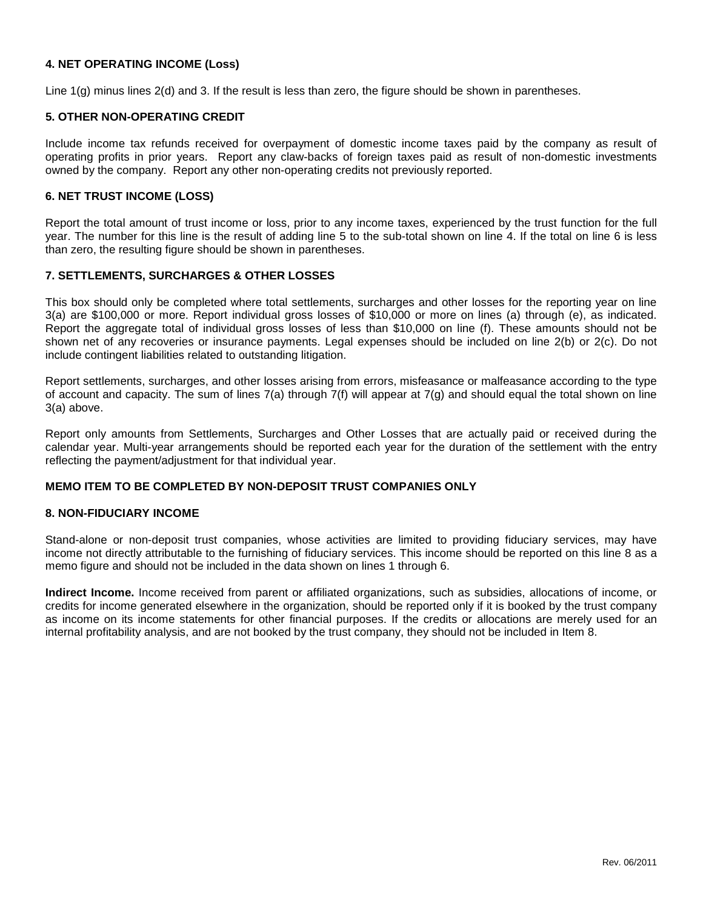# **4. NET OPERATING INCOME (Loss)**

Line 1(g) minus lines 2(d) and 3. If the result is less than zero, the figure should be shown in parentheses.

# **5. OTHER NON-OPERATING CREDIT**

Include income tax refunds received for overpayment of domestic income taxes paid by the company as result of operating profits in prior years. Report any claw-backs of foreign taxes paid as result of non-domestic investments owned by the company. Report any other non-operating credits not previously reported.

### **6. NET TRUST INCOME (LOSS)**

Report the total amount of trust income or loss, prior to any income taxes, experienced by the trust function for the full year. The number for this line is the result of adding line 5 to the sub-total shown on line 4. If the total on line 6 is less than zero, the resulting figure should be shown in parentheses.

### **7. SETTLEMENTS, SURCHARGES & OTHER LOSSES**

This box should only be completed where total settlements, surcharges and other losses for the reporting year on line 3(a) are \$100,000 or more. Report individual gross losses of \$10,000 or more on lines (a) through (e), as indicated. Report the aggregate total of individual gross losses of less than \$10,000 on line (f). These amounts should not be shown net of any recoveries or insurance payments. Legal expenses should be included on line 2(b) or 2(c). Do not include contingent liabilities related to outstanding litigation.

Report settlements, surcharges, and other losses arising from errors, misfeasance or malfeasance according to the type of account and capacity. The sum of lines  $7(a)$  through  $7(f)$  will appear at  $7(g)$  and should equal the total shown on line 3(a) above.

Report only amounts from Settlements, Surcharges and Other Losses that are actually paid or received during the calendar year. Multi-year arrangements should be reported each year for the duration of the settlement with the entry reflecting the payment/adjustment for that individual year.

# **MEMO ITEM TO BE COMPLETED BY NON-DEPOSIT TRUST COMPANIES ONLY**

### **8. NON-FIDUCIARY INCOME**

Stand-alone or non-deposit trust companies, whose activities are limited to providing fiduciary services, may have income not directly attributable to the furnishing of fiduciary services. This income should be reported on this line 8 as a memo figure and should not be included in the data shown on lines 1 through 6.

**Indirect Income.** Income received from parent or affiliated organizations, such as subsidies, allocations of income, or credits for income generated elsewhere in the organization, should be reported only if it is booked by the trust company as income on its income statements for other financial purposes. If the credits or allocations are merely used for an internal profitability analysis, and are not booked by the trust company, they should not be included in Item 8.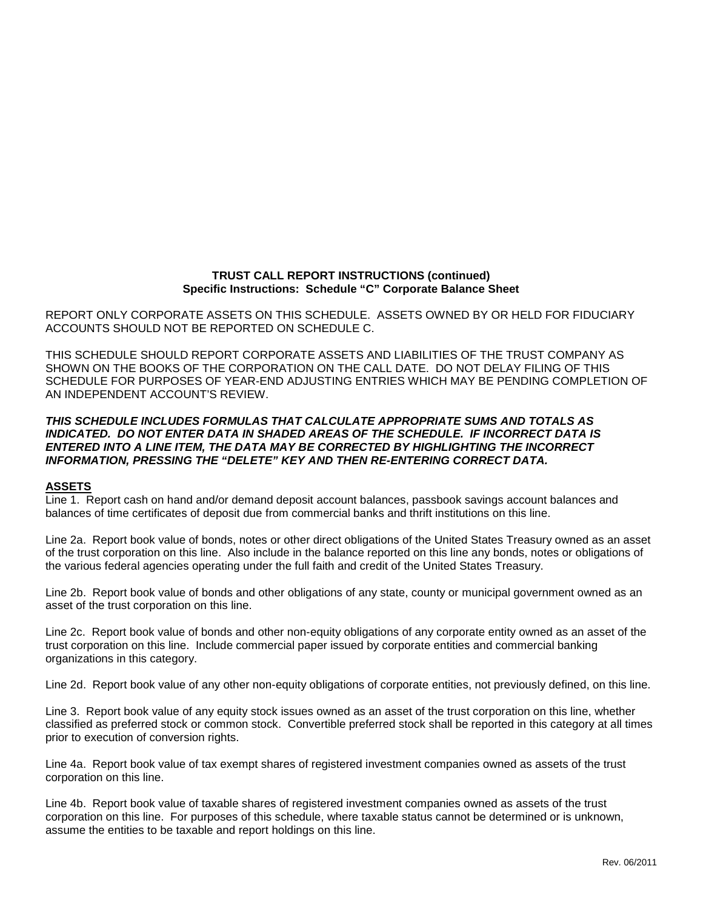# **TRUST CALL REPORT INSTRUCTIONS (continued) Specific Instructions: Schedule "C" Corporate Balance Sheet**

REPORT ONLY CORPORATE ASSETS ON THIS SCHEDULE. ASSETS OWNED BY OR HELD FOR FIDUCIARY ACCOUNTS SHOULD NOT BE REPORTED ON SCHEDULE C.

THIS SCHEDULE SHOULD REPORT CORPORATE ASSETS AND LIABILITIES OF THE TRUST COMPANY AS SHOWN ON THE BOOKS OF THE CORPORATION ON THE CALL DATE. DO NOT DELAY FILING OF THIS SCHEDULE FOR PURPOSES OF YEAR-END ADJUSTING ENTRIES WHICH MAY BE PENDING COMPLETION OF AN INDEPENDENT ACCOUNT'S REVIEW.

# *THIS SCHEDULE INCLUDES FORMULAS THAT CALCULATE APPROPRIATE SUMS AND TOTALS AS INDICATED. DO NOT ENTER DATA IN SHADED AREAS OF THE SCHEDULE. IF INCORRECT DATA IS ENTERED INTO A LINE ITEM, THE DATA MAY BE CORRECTED BY HIGHLIGHTING THE INCORRECT INFORMATION, PRESSING THE "DELETE" KEY AND THEN RE-ENTERING CORRECT DATA.*

# **ASSETS**

Line 1. Report cash on hand and/or demand deposit account balances, passbook savings account balances and balances of time certificates of deposit due from commercial banks and thrift institutions on this line.

Line 2a. Report book value of bonds, notes or other direct obligations of the United States Treasury owned as an asset of the trust corporation on this line. Also include in the balance reported on this line any bonds, notes or obligations of the various federal agencies operating under the full faith and credit of the United States Treasury.

Line 2b. Report book value of bonds and other obligations of any state, county or municipal government owned as an asset of the trust corporation on this line.

Line 2c. Report book value of bonds and other non-equity obligations of any corporate entity owned as an asset of the trust corporation on this line. Include commercial paper issued by corporate entities and commercial banking organizations in this category.

Line 2d. Report book value of any other non-equity obligations of corporate entities, not previously defined, on this line.

Line 3. Report book value of any equity stock issues owned as an asset of the trust corporation on this line, whether classified as preferred stock or common stock. Convertible preferred stock shall be reported in this category at all times prior to execution of conversion rights.

Line 4a. Report book value of tax exempt shares of registered investment companies owned as assets of the trust corporation on this line.

Line 4b. Report book value of taxable shares of registered investment companies owned as assets of the trust corporation on this line. For purposes of this schedule, where taxable status cannot be determined or is unknown, assume the entities to be taxable and report holdings on this line.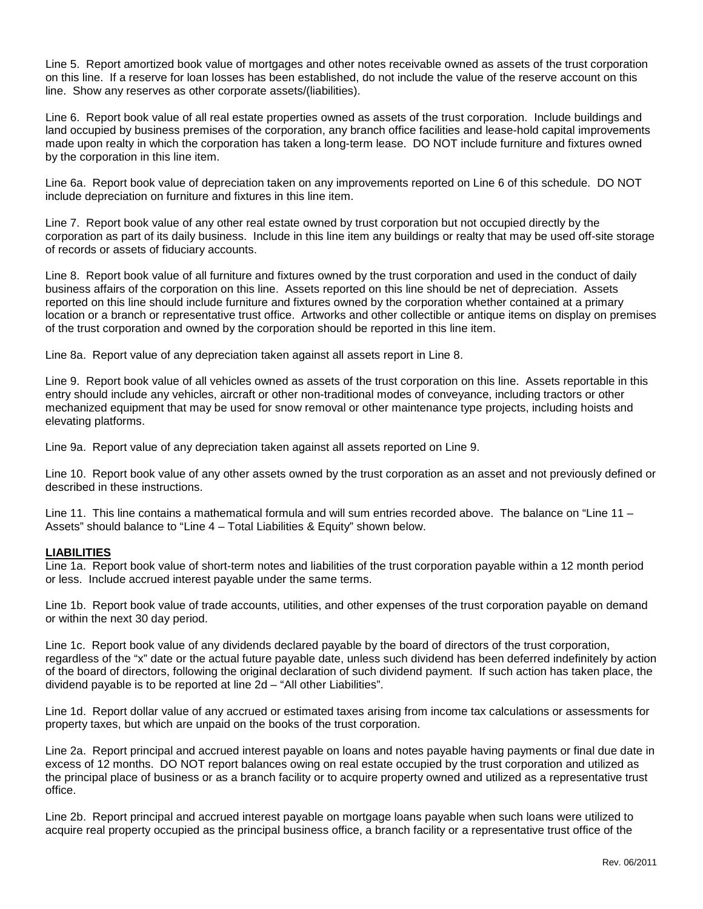Line 5. Report amortized book value of mortgages and other notes receivable owned as assets of the trust corporation on this line. If a reserve for loan losses has been established, do not include the value of the reserve account on this line. Show any reserves as other corporate assets/(liabilities).

Line 6. Report book value of all real estate properties owned as assets of the trust corporation. Include buildings and land occupied by business premises of the corporation, any branch office facilities and lease-hold capital improvements made upon realty in which the corporation has taken a long-term lease. DO NOT include furniture and fixtures owned by the corporation in this line item.

Line 6a. Report book value of depreciation taken on any improvements reported on Line 6 of this schedule. DO NOT include depreciation on furniture and fixtures in this line item.

Line 7. Report book value of any other real estate owned by trust corporation but not occupied directly by the corporation as part of its daily business. Include in this line item any buildings or realty that may be used off-site storage of records or assets of fiduciary accounts.

Line 8. Report book value of all furniture and fixtures owned by the trust corporation and used in the conduct of daily business affairs of the corporation on this line. Assets reported on this line should be net of depreciation. Assets reported on this line should include furniture and fixtures owned by the corporation whether contained at a primary location or a branch or representative trust office. Artworks and other collectible or antique items on display on premises of the trust corporation and owned by the corporation should be reported in this line item.

Line 8a. Report value of any depreciation taken against all assets report in Line 8.

Line 9. Report book value of all vehicles owned as assets of the trust corporation on this line. Assets reportable in this entry should include any vehicles, aircraft or other non-traditional modes of conveyance, including tractors or other mechanized equipment that may be used for snow removal or other maintenance type projects, including hoists and elevating platforms.

Line 9a. Report value of any depreciation taken against all assets reported on Line 9.

Line 10. Report book value of any other assets owned by the trust corporation as an asset and not previously defined or described in these instructions.

Line 11. This line contains a mathematical formula and will sum entries recorded above. The balance on "Line 11 – Assets" should balance to "Line 4 – Total Liabilities & Equity" shown below.

# **LIABILITIES**

Line 1a. Report book value of short-term notes and liabilities of the trust corporation payable within a 12 month period or less. Include accrued interest payable under the same terms.

Line 1b. Report book value of trade accounts, utilities, and other expenses of the trust corporation payable on demand or within the next 30 day period.

Line 1c. Report book value of any dividends declared payable by the board of directors of the trust corporation, regardless of the "x" date or the actual future payable date, unless such dividend has been deferred indefinitely by action of the board of directors, following the original declaration of such dividend payment. If such action has taken place, the dividend payable is to be reported at line 2d – "All other Liabilities".

Line 1d. Report dollar value of any accrued or estimated taxes arising from income tax calculations or assessments for property taxes, but which are unpaid on the books of the trust corporation.

Line 2a. Report principal and accrued interest payable on loans and notes payable having payments or final due date in excess of 12 months. DO NOT report balances owing on real estate occupied by the trust corporation and utilized as the principal place of business or as a branch facility or to acquire property owned and utilized as a representative trust office.

Line 2b. Report principal and accrued interest payable on mortgage loans payable when such loans were utilized to acquire real property occupied as the principal business office, a branch facility or a representative trust office of the